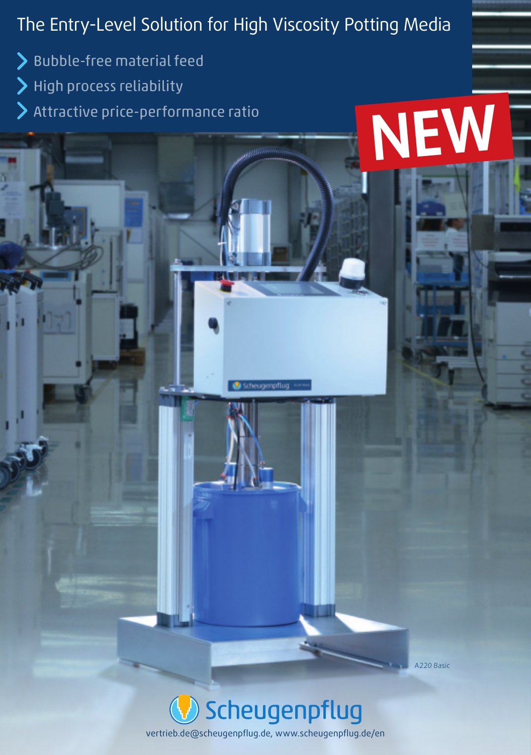## The Entry-Level Solution for High Viscosity Potting Media

**NEW**

A220 Basic

> Bubble-free material feed > High process reliability

Attractive price-performance ratio

Scheugenpflug vertrieb.de@scheugenpflug.de, www.scheugenpflug.de/en

cheugenoflug